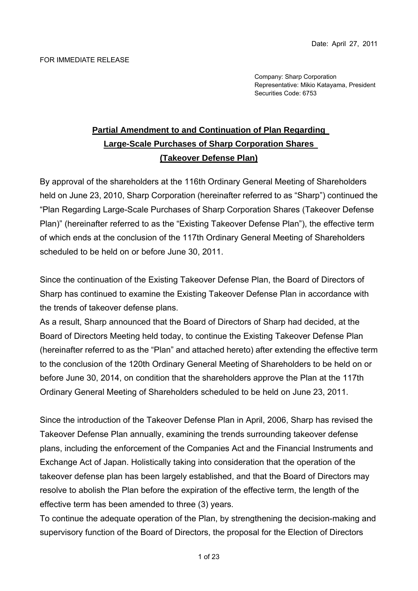Company: Sharp Corporation Representative: Mikio Katayama, President Securities Code: 6753

# **Partial Amendment to and Continuation of Plan Regarding Large-Scale Purchases of Sharp Corporation Shares (Takeover Defense Plan)**

By approval of the shareholders at the 116th Ordinary General Meeting of Shareholders held on June 23, 2010, Sharp Corporation (hereinafter referred to as "Sharp") continued the "Plan Regarding Large-Scale Purchases of Sharp Corporation Shares (Takeover Defense Plan)" (hereinafter referred to as the "Existing Takeover Defense Plan"), the effective term of which ends at the conclusion of the 117th Ordinary General Meeting of Shareholders scheduled to be held on or before June 30, 2011.

Since the continuation of the Existing Takeover Defense Plan, the Board of Directors of Sharp has continued to examine the Existing Takeover Defense Plan in accordance with the trends of takeover defense plans.

As a result, Sharp announced that the Board of Directors of Sharp had decided, at the Board of Directors Meeting held today, to continue the Existing Takeover Defense Plan (hereinafter referred to as the "Plan" and attached hereto) after extending the effective term to the conclusion of the 120th Ordinary General Meeting of Shareholders to be held on or before June 30, 2014, on condition that the shareholders approve the Plan at the 117th Ordinary General Meeting of Shareholders scheduled to be held on June 23, 2011.

Since the introduction of the Takeover Defense Plan in April, 2006, Sharp has revised the Takeover Defense Plan annually, examining the trends surrounding takeover defense plans, including the enforcement of the Companies Act and the Financial Instruments and Exchange Act of Japan. Holistically taking into consideration that the operation of the takeover defense plan has been largely established, and that the Board of Directors may resolve to abolish the Plan before the expiration of the effective term, the length of the effective term has been amended to three (3) years.

To continue the adequate operation of the Plan, by strengthening the decision-making and supervisory function of the Board of Directors, the proposal for the Election of Directors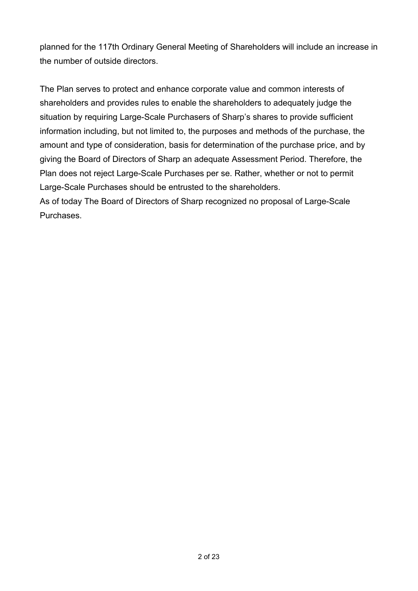planned for the 117th Ordinary General Meeting of Shareholders will include an increase in the number of outside directors.

The Plan serves to protect and enhance corporate value and common interests of shareholders and provides rules to enable the shareholders to adequately judge the situation by requiring Large-Scale Purchasers of Sharp's shares to provide sufficient information including, but not limited to, the purposes and methods of the purchase, the amount and type of consideration, basis for determination of the purchase price, and by giving the Board of Directors of Sharp an adequate Assessment Period. Therefore, the Plan does not reject Large-Scale Purchases per se. Rather, whether or not to permit Large-Scale Purchases should be entrusted to the shareholders.

As of today The Board of Directors of Sharp recognized no proposal of Large-Scale Purchases.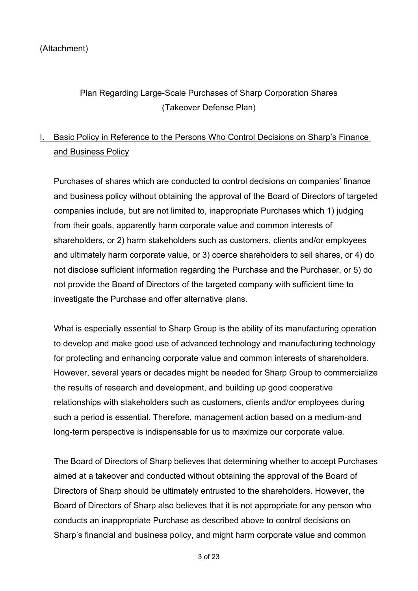#### (Attachment)

# Plan Regarding Large-Scale Purchases of Sharp Corporation Shares (Takeover Defense Plan)

# I. Basic Policy in Reference to the Persons Who Control Decisions on Sharp's Finance and Business Policy

Purchases of shares which are conducted to control decisions on companies' finance and business policy without obtaining the approval of the Board of Directors of targeted companies include, but are not limited to, inappropriate Purchases which 1) judging from their goals, apparently harm corporate value and common interests of shareholders, or 2) harm stakeholders such as customers, clients and/or employees and ultimately harm corporate value, or 3) coerce shareholders to sell shares, or 4) do not disclose sufficient information regarding the Purchase and the Purchaser, or 5) do not provide the Board of Directors of the targeted company with sufficient time to investigate the Purchase and offer alternative plans.

What is especially essential to Sharp Group is the ability of its manufacturing operation to develop and make good use of advanced technology and manufacturing technology for protecting and enhancing corporate value and common interests of shareholders. However, several years or decades might be needed for Sharp Group to commercialize the results of research and development, and building up good cooperative relationships with stakeholders such as customers, clients and/or employees during such a period is essential. Therefore, management action based on a medium-and long-term perspective is indispensable for us to maximize our corporate value.

The Board of Directors of Sharp believes that determining whether to accept Purchases aimed at a takeover and conducted without obtaining the approval of the Board of Directors of Sharp should be ultimately entrusted to the shareholders. However, the Board of Directors of Sharp also believes that it is not appropriate for any person who conducts an inappropriate Purchase as described above to control decisions on Sharp's financial and business policy, and might harm corporate value and common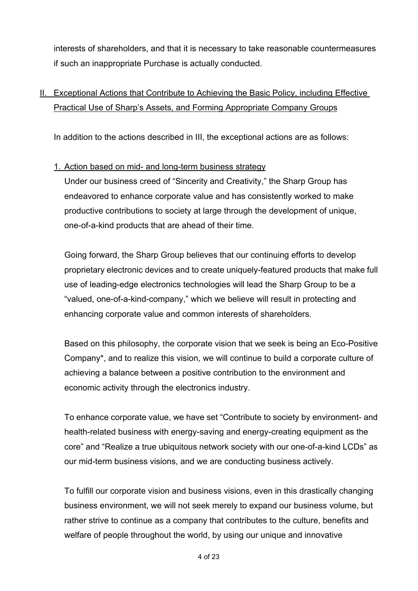interests of shareholders, and that it is necessary to take reasonable countermeasures if such an inappropriate Purchase is actually conducted.

# II. Exceptional Actions that Contribute to Achieving the Basic Policy, including Effective Practical Use of Sharp's Assets, and Forming Appropriate Company Groups

In addition to the actions described in III, the exceptional actions are as follows:

#### 1. Action based on mid- and long-term business strategy

Under our business creed of "Sincerity and Creativity," the Sharp Group has endeavored to enhance corporate value and has consistently worked to make productive contributions to society at large through the development of unique, one-of-a-kind products that are ahead of their time.

Going forward, the Sharp Group believes that our continuing efforts to develop proprietary electronic devices and to create uniquely-featured products that make full use of leading-edge electronics technologies will lead the Sharp Group to be a "valued, one-of-a-kind-company," which we believe will result in protecting and enhancing corporate value and common interests of shareholders.

Based on this philosophy, the corporate vision that we seek is being an Eco-Positive Company\*, and to realize this vision, we will continue to build a corporate culture of achieving a balance between a positive contribution to the environment and economic activity through the electronics industry.

To enhance corporate value, we have set "Contribute to society by environment- and health-related business with energy-saving and energy-creating equipment as the core" and "Realize a true ubiquitous network society with our one-of-a-kind LCDs" as our mid-term business visions, and we are conducting business actively.

To fulfill our corporate vision and business visions, even in this drastically changing business environment, we will not seek merely to expand our business volume, but rather strive to continue as a company that contributes to the culture, benefits and welfare of people throughout the world, by using our unique and innovative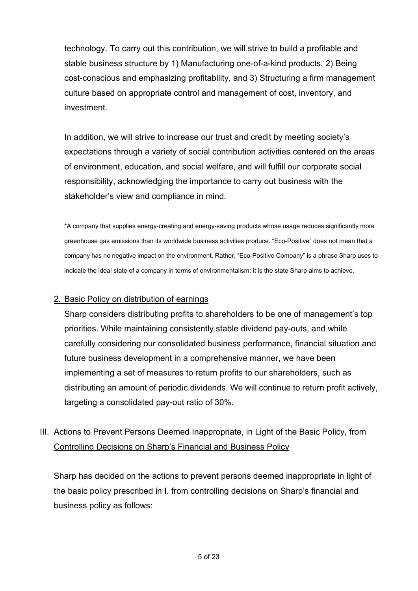technology. To carry out this contribution, we will strive to build a profitable and stable business structure by 1) Manufacturing one-of-a-kind products, 2) Being cost-conscious and emphasizing profitability, and 3) Structuring a firm management culture based on appropriate control and management of cost, inventory, and investment.

In addition, we will strive to increase our trust and credit by meeting society's expectations through a variety of social contribution activities centered on the areas of environment, education, and social welfare, and will fulfill our corporate social responsibility, acknowledging the importance to carry out business with the stakeholder's view and compliance in mind.

\*A company that supplies energy-creating and energy-saving products whose usage reduces significantly more greenhouse gas emissions than its worldwide business activities produce. "Eco-Positive" does not mean that a company has no negative impact on the environment. Rather, "Eco-Positive Company" is a phrase Sharp uses to indicate the ideal state of a company in terms of environmentalism; it is the state Sharp aims to achieve.

#### 2. Basic Policy on distribution of earnings

Sharp considers distributing profits to shareholders to be one of management's top priorities. While maintaining consistently stable dividend pay-outs, and while carefully considering our consolidated business performance, financial situation and future business development in a comprehensive manner, we have been implementing a set of measures to return profits to our shareholders, such as distributing an amount of periodic dividends. We will continue to return profit actively, targeting a consolidated pay-out ratio of 30%.

# III. Actions to Prevent Persons Deemed Inappropriate, in Light of the Basic Policy, from Controlling Decisions on Sharp's Financial and Business Policy

Sharp has decided on the actions to prevent persons deemed inappropriate in light of the basic policy prescribed in I. from controlling decisions on Sharp's financial and business policy as follows: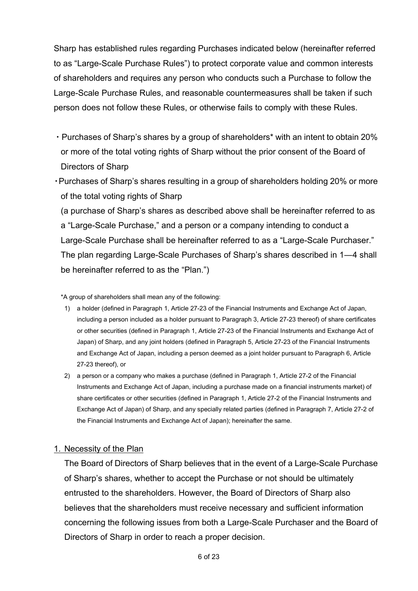Sharp has established rules regarding Purchases indicated below (hereinafter referred to as "Large-Scale Purchase Rules") to protect corporate value and common interests of shareholders and requires any person who conducts such a Purchase to follow the Large-Scale Purchase Rules, and reasonable countermeasures shall be taken if such person does not follow these Rules, or otherwise fails to comply with these Rules.

- ・Purchases of Sharp's shares by a group of shareholders\* with an intent to obtain 20% or more of the total voting rights of Sharp without the prior consent of the Board of Directors of Sharp
- ・Purchases of Sharp's shares resulting in a group of shareholders holding 20% or more of the total voting rights of Sharp

(a purchase of Sharp's shares as described above shall be hereinafter referred to as a "Large-Scale Purchase," and a person or a company intending to conduct a Large-Scale Purchase shall be hereinafter referred to as a "Large-Scale Purchaser." The plan regarding Large-Scale Purchases of Sharp's shares described in 1―4 shall be hereinafter referred to as the "Plan.")

\*A group of shareholders shall mean any of the following:

- 1) a holder (defined in Paragraph 1, Article 27-23 of the Financial Instruments and Exchange Act of Japan, including a person included as a holder pursuant to Paragraph 3, Article 27-23 thereof) of share certificates or other securities (defined in Paragraph 1, Article 27-23 of the Financial Instruments and Exchange Act of Japan) of Sharp, and any joint holders (defined in Paragraph 5, Article 27-23 of the Financial Instruments and Exchange Act of Japan, including a person deemed as a joint holder pursuant to Paragraph 6, Article 27-23 thereof), or
- 2) a person or a company who makes a purchase (defined in Paragraph 1, Article 27-2 of the Financial Instruments and Exchange Act of Japan, including a purchase made on a financial instruments market) of share certificates or other securities (defined in Paragraph 1, Article 27-2 of the Financial Instruments and Exchange Act of Japan) of Sharp, and any specially related parties (defined in Paragraph 7, Article 27-2 of the Financial Instruments and Exchange Act of Japan); hereinafter the same.

#### 1. Necessity of the Plan

The Board of Directors of Sharp believes that in the event of a Large-Scale Purchase of Sharp's shares, whether to accept the Purchase or not should be ultimately entrusted to the shareholders. However, the Board of Directors of Sharp also believes that the shareholders must receive necessary and sufficient information concerning the following issues from both a Large-Scale Purchaser and the Board of Directors of Sharp in order to reach a proper decision.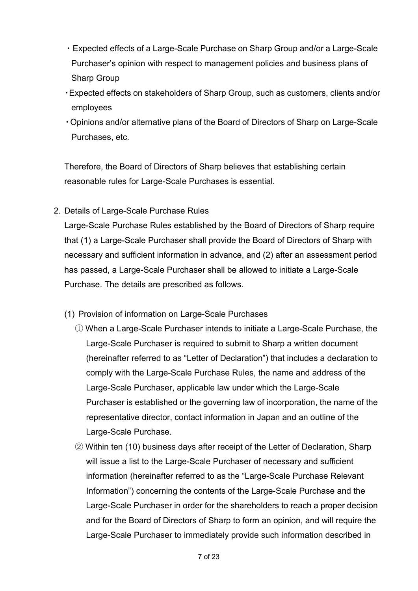- ・Expected effects of a Large-Scale Purchase on Sharp Group and/or a Large-Scale Purchaser's opinion with respect to management policies and business plans of Sharp Group
- ・Expected effects on stakeholders of Sharp Group, such as customers, clients and/or employees
- ・Opinions and/or alternative plans of the Board of Directors of Sharp on Large-Scale Purchases, etc.

Therefore, the Board of Directors of Sharp believes that establishing certain reasonable rules for Large-Scale Purchases is essential.

## 2. Details of Large-Scale Purchase Rules

Large-Scale Purchase Rules established by the Board of Directors of Sharp require that (1) a Large-Scale Purchaser shall provide the Board of Directors of Sharp with necessary and sufficient information in advance, and (2) after an assessment period has passed, a Large-Scale Purchaser shall be allowed to initiate a Large-Scale Purchase. The details are prescribed as follows.

- (1) Provision of information on Large-Scale Purchases
	- ① When a Large-Scale Purchaser intends to initiate a Large-Scale Purchase, the Large-Scale Purchaser is required to submit to Sharp a written document (hereinafter referred to as "Letter of Declaration") that includes a declaration to comply with the Large-Scale Purchase Rules, the name and address of the Large-Scale Purchaser, applicable law under which the Large-Scale Purchaser is established or the governing law of incorporation, the name of the representative director, contact information in Japan and an outline of the Large-Scale Purchase.
	- ② Within ten (10) business days after receipt of the Letter of Declaration, Sharp will issue a list to the Large-Scale Purchaser of necessary and sufficient information (hereinafter referred to as the "Large-Scale Purchase Relevant Information") concerning the contents of the Large-Scale Purchase and the Large-Scale Purchaser in order for the shareholders to reach a proper decision and for the Board of Directors of Sharp to form an opinion, and will require the Large-Scale Purchaser to immediately provide such information described in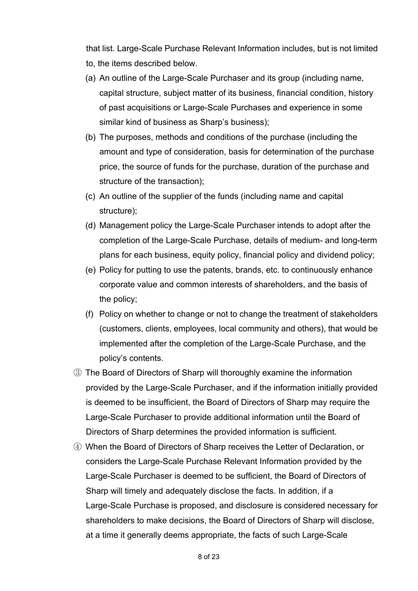that list. Large-Scale Purchase Relevant Information includes, but is not limited to, the items described below.

- (a) An outline of the Large-Scale Purchaser and its group (including name, capital structure, subject matter of its business, financial condition, history of past acquisitions or Large-Scale Purchases and experience in some similar kind of business as Sharp's business);
- (b) The purposes, methods and conditions of the purchase (including the amount and type of consideration, basis for determination of the purchase price, the source of funds for the purchase, duration of the purchase and structure of the transaction);
- (c) An outline of the supplier of the funds (including name and capital structure);
- (d) Management policy the Large-Scale Purchaser intends to adopt after the completion of the Large-Scale Purchase, details of medium- and long-term plans for each business, equity policy, financial policy and dividend policy;
- (e) Policy for putting to use the patents, brands, etc. to continuously enhance corporate value and common interests of shareholders, and the basis of the policy;
- (f) Policy on whether to change or not to change the treatment of stakeholders (customers, clients, employees, local community and others), that would be implemented after the completion of the Large-Scale Purchase, and the policy's contents.
- ③ The Board of Directors of Sharp will thoroughly examine the information provided by the Large-Scale Purchaser, and if the information initially provided is deemed to be insufficient, the Board of Directors of Sharp may require the Large-Scale Purchaser to provide additional information until the Board of Directors of Sharp determines the provided information is sufficient.
- ④ When the Board of Directors of Sharp receives the Letter of Declaration, or considers the Large-Scale Purchase Relevant Information provided by the Large-Scale Purchaser is deemed to be sufficient, the Board of Directors of Sharp will timely and adequately disclose the facts. In addition, if a Large-Scale Purchase is proposed, and disclosure is considered necessary for shareholders to make decisions, the Board of Directors of Sharp will disclose, at a time it generally deems appropriate, the facts of such Large-Scale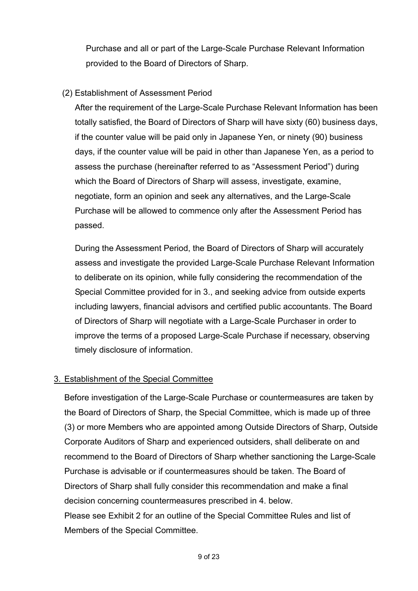Purchase and all or part of the Large-Scale Purchase Relevant Information provided to the Board of Directors of Sharp.

## (2) Establishment of Assessment Period

After the requirement of the Large-Scale Purchase Relevant Information has been totally satisfied, the Board of Directors of Sharp will have sixty (60) business days, if the counter value will be paid only in Japanese Yen, or ninety (90) business days, if the counter value will be paid in other than Japanese Yen, as a period to assess the purchase (hereinafter referred to as "Assessment Period") during which the Board of Directors of Sharp will assess, investigate, examine, negotiate, form an opinion and seek any alternatives, and the Large-Scale Purchase will be allowed to commence only after the Assessment Period has passed.

During the Assessment Period, the Board of Directors of Sharp will accurately assess and investigate the provided Large-Scale Purchase Relevant Information to deliberate on its opinion, while fully considering the recommendation of the Special Committee provided for in 3., and seeking advice from outside experts including lawyers, financial advisors and certified public accountants. The Board of Directors of Sharp will negotiate with a Large-Scale Purchaser in order to improve the terms of a proposed Large-Scale Purchase if necessary, observing timely disclosure of information.

#### 3. Establishment of the Special Committee

Before investigation of the Large-Scale Purchase or countermeasures are taken by the Board of Directors of Sharp, the Special Committee, which is made up of three (3) or more Members who are appointed among Outside Directors of Sharp, Outside Corporate Auditors of Sharp and experienced outsiders, shall deliberate on and recommend to the Board of Directors of Sharp whether sanctioning the Large-Scale Purchase is advisable or if countermeasures should be taken. The Board of Directors of Sharp shall fully consider this recommendation and make a final decision concerning countermeasures prescribed in 4. below. Please see Exhibit 2 for an outline of the Special Committee Rules and list of Members of the Special Committee.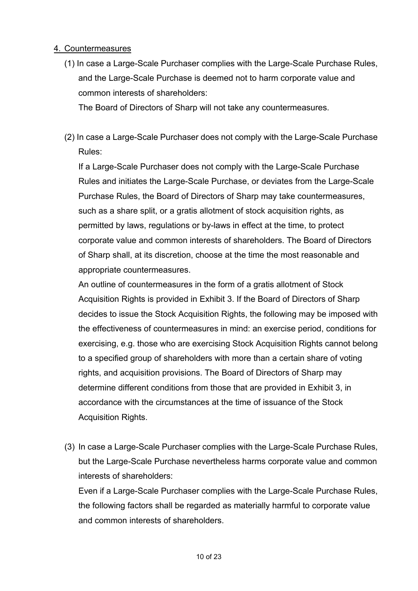#### 4. Countermeasures

(1) In case a Large-Scale Purchaser complies with the Large-Scale Purchase Rules, and the Large-Scale Purchase is deemed not to harm corporate value and common interests of shareholders:

The Board of Directors of Sharp will not take any countermeasures.

(2) In case a Large-Scale Purchaser does not comply with the Large-Scale Purchase Rules:

If a Large-Scale Purchaser does not comply with the Large-Scale Purchase Rules and initiates the Large-Scale Purchase, or deviates from the Large-Scale Purchase Rules, the Board of Directors of Sharp may take countermeasures, such as a share split, or a gratis allotment of stock acquisition rights, as permitted by laws, regulations or by-laws in effect at the time, to protect corporate value and common interests of shareholders. The Board of Directors of Sharp shall, at its discretion, choose at the time the most reasonable and appropriate countermeasures.

An outline of countermeasures in the form of a gratis allotment of Stock Acquisition Rights is provided in Exhibit 3. If the Board of Directors of Sharp decides to issue the Stock Acquisition Rights, the following may be imposed with the effectiveness of countermeasures in mind: an exercise period, conditions for exercising, e.g. those who are exercising Stock Acquisition Rights cannot belong to a specified group of shareholders with more than a certain share of voting rights, and acquisition provisions. The Board of Directors of Sharp may determine different conditions from those that are provided in Exhibit 3, in accordance with the circumstances at the time of issuance of the Stock Acquisition Rights.

(3) In case a Large-Scale Purchaser complies with the Large-Scale Purchase Rules, but the Large-Scale Purchase nevertheless harms corporate value and common interests of shareholders:

Even if a Large-Scale Purchaser complies with the Large-Scale Purchase Rules, the following factors shall be regarded as materially harmful to corporate value and common interests of shareholders.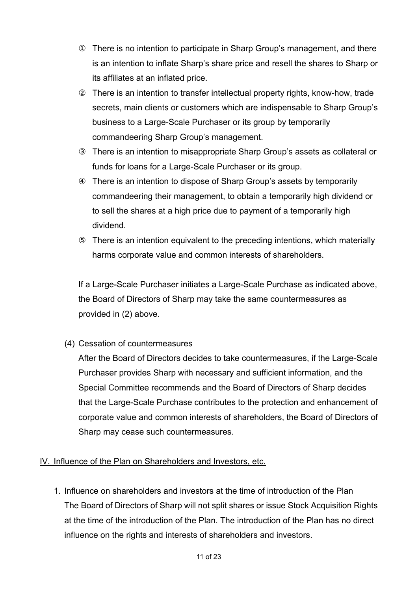There is no intention to participate in Sharp Group's management, and there is an intention to inflate Sharp's share price and resell the shares to Sharp or its affiliates at an inflated price.

 There is an intention to transfer intellectual property rights, know-how, trade secrets, main clients or customers which are indispensable to Sharp Group's business to a Large-Scale Purchaser or its group by temporarily commandeering Sharp Group's management.

 There is an intention to misappropriate Sharp Group's assets as collateral or funds for loans for a Large-Scale Purchaser or its group.

 There is an intention to dispose of Sharp Group's assets by temporarily commandeering their management, to obtain a temporarily high dividend or to sell the shares at a high price due to payment of a temporarily high dividend.

 There is an intention equivalent to the preceding intentions, which materially harms corporate value and common interests of shareholders.

If a Large-Scale Purchaser initiates a Large-Scale Purchase as indicated above, the Board of Directors of Sharp may take the same countermeasures as provided in (2) above.

(4) Cessation of countermeasures

After the Board of Directors decides to take countermeasures, if the Large-Scale Purchaser provides Sharp with necessary and sufficient information, and the Special Committee recommends and the Board of Directors of Sharp decides that the Large-Scale Purchase contributes to the protection and enhancement of corporate value and common interests of shareholders, the Board of Directors of Sharp may cease such countermeasures.

# IV. Influence of the Plan on Shareholders and Investors, etc.

1. Influence on shareholders and investors at the time of introduction of the Plan The Board of Directors of Sharp will not split shares or issue Stock Acquisition Rights at the time of the introduction of the Plan. The introduction of the Plan has no direct influence on the rights and interests of shareholders and investors.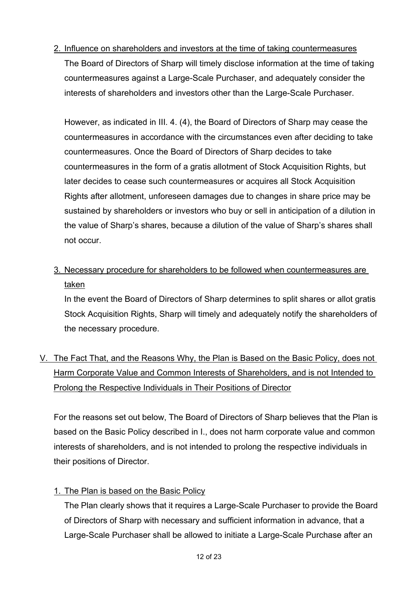2. Influence on shareholders and investors at the time of taking countermeasures The Board of Directors of Sharp will timely disclose information at the time of taking countermeasures against a Large-Scale Purchaser, and adequately consider the interests of shareholders and investors other than the Large-Scale Purchaser.

However, as indicated in III. 4. (4), the Board of Directors of Sharp may cease the countermeasures in accordance with the circumstances even after deciding to take countermeasures. Once the Board of Directors of Sharp decides to take countermeasures in the form of a gratis allotment of Stock Acquisition Rights, but later decides to cease such countermeasures or acquires all Stock Acquisition Rights after allotment, unforeseen damages due to changes in share price may be sustained by shareholders or investors who buy or sell in anticipation of a dilution in the value of Sharp's shares, because a dilution of the value of Sharp's shares shall not occur.

3. Necessary procedure for shareholders to be followed when countermeasures are taken

In the event the Board of Directors of Sharp determines to split shares or allot gratis Stock Acquisition Rights, Sharp will timely and adequately notify the shareholders of the necessary procedure.

V. The Fact That, and the Reasons Why, the Plan is Based on the Basic Policy, does not Harm Corporate Value and Common Interests of Shareholders, and is not Intended to Prolong the Respective Individuals in Their Positions of Director

For the reasons set out below, The Board of Directors of Sharp believes that the Plan is based on the Basic Policy described in I., does not harm corporate value and common interests of shareholders, and is not intended to prolong the respective individuals in their positions of Director.

# 1. The Plan is based on the Basic Policy

The Plan clearly shows that it requires a Large-Scale Purchaser to provide the Board of Directors of Sharp with necessary and sufficient information in advance, that a Large-Scale Purchaser shall be allowed to initiate a Large-Scale Purchase after an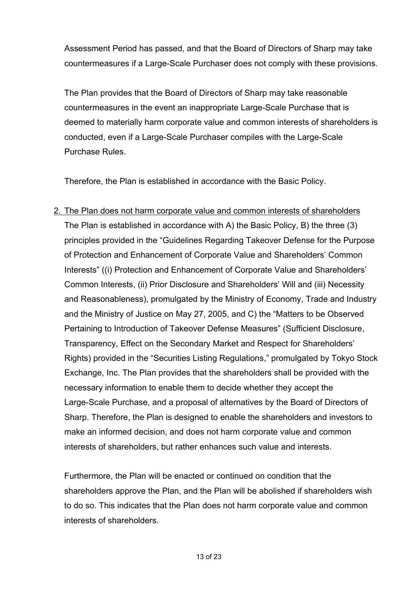Assessment Period has passed, and that the Board of Directors of Sharp may take countermeasures if a Large-Scale Purchaser does not comply with these provisions.

The Plan provides that the Board of Directors of Sharp may take reasonable countermeasures in the event an inappropriate Large-Scale Purchase that is deemed to materially harm corporate value and common interests of shareholders is conducted, even if a Large-Scale Purchaser compiles with the Large-Scale Purchase Rules.

Therefore, the Plan is established in accordance with the Basic Policy.

2. The Plan does not harm corporate value and common interests of shareholders The Plan is established in accordance with A) the Basic Policy, B) the three (3)

principles provided in the "Guidelines Regarding Takeover Defense for the Purpose of Protection and Enhancement of Corporate Value and Shareholders' Common Interests" ((i) Protection and Enhancement of Corporate Value and Shareholders' Common Interests, (ii) Prior Disclosure and Shareholders' Will and (iii) Necessity and Reasonableness), promulgated by the Ministry of Economy, Trade and Industry and the Ministry of Justice on May 27, 2005, and C) the "Matters to be Observed Pertaining to Introduction of Takeover Defense Measures" (Sufficient Disclosure, Transparency, Effect on the Secondary Market and Respect for Shareholders' Rights) provided in the "Securities Listing Regulations," promulgated by Tokyo Stock Exchange, Inc. The Plan provides that the shareholders shall be provided with the necessary information to enable them to decide whether they accept the Large-Scale Purchase, and a proposal of alternatives by the Board of Directors of Sharp. Therefore, the Plan is designed to enable the shareholders and investors to make an informed decision, and does not harm corporate value and common interests of shareholders, but rather enhances such value and interests.

Furthermore, the Plan will be enacted or continued on condition that the shareholders approve the Plan, and the Plan will be abolished if shareholders wish to do so. This indicates that the Plan does not harm corporate value and common interests of shareholders.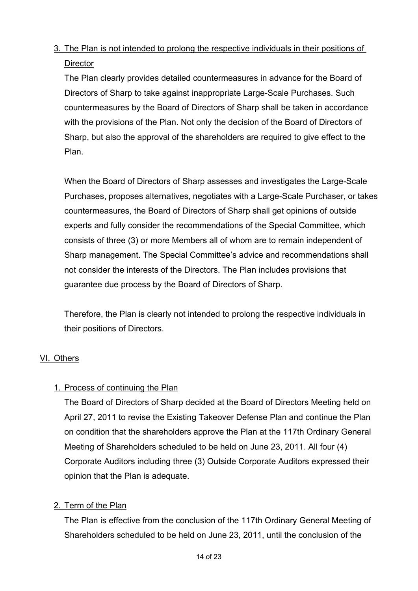# 3. The Plan is not intended to prolong the respective individuals in their positions of **Director**

The Plan clearly provides detailed countermeasures in advance for the Board of Directors of Sharp to take against inappropriate Large-Scale Purchases. Such countermeasures by the Board of Directors of Sharp shall be taken in accordance with the provisions of the Plan. Not only the decision of the Board of Directors of Sharp, but also the approval of the shareholders are required to give effect to the Plan.

When the Board of Directors of Sharp assesses and investigates the Large-Scale Purchases, proposes alternatives, negotiates with a Large-Scale Purchaser, or takes countermeasures, the Board of Directors of Sharp shall get opinions of outside experts and fully consider the recommendations of the Special Committee, which consists of three (3) or more Members all of whom are to remain independent of Sharp management. The Special Committee's advice and recommendations shall not consider the interests of the Directors. The Plan includes provisions that guarantee due process by the Board of Directors of Sharp.

Therefore, the Plan is clearly not intended to prolong the respective individuals in their positions of Directors.

#### VI. Others

#### 1. Process of continuing the Plan

The Board of Directors of Sharp decided at the Board of Directors Meeting held on April 27, 2011 to revise the Existing Takeover Defense Plan and continue the Plan on condition that the shareholders approve the Plan at the 117th Ordinary General Meeting of Shareholders scheduled to be held on June 23, 2011. All four (4) Corporate Auditors including three (3) Outside Corporate Auditors expressed their opinion that the Plan is adequate.

#### 2. Term of the Plan

The Plan is effective from the conclusion of the 117th Ordinary General Meeting of Shareholders scheduled to be held on June 23, 2011, until the conclusion of the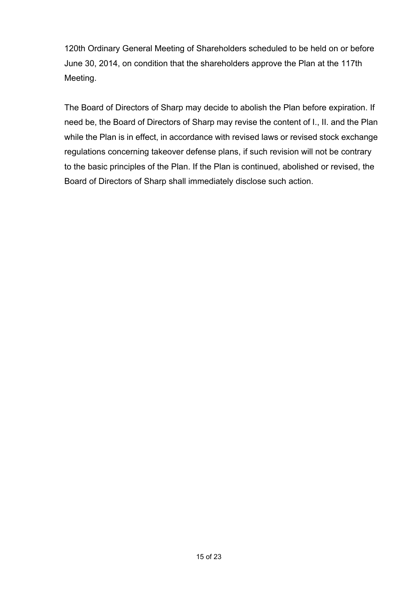120th Ordinary General Meeting of Shareholders scheduled to be held on or before June 30, 2014, on condition that the shareholders approve the Plan at the 117th Meeting.

The Board of Directors of Sharp may decide to abolish the Plan before expiration. If need be, the Board of Directors of Sharp may revise the content of I., II. and the Plan while the Plan is in effect, in accordance with revised laws or revised stock exchange regulations concerning takeover defense plans, if such revision will not be contrary to the basic principles of the Plan. If the Plan is continued, abolished or revised, the Board of Directors of Sharp shall immediately disclose such action.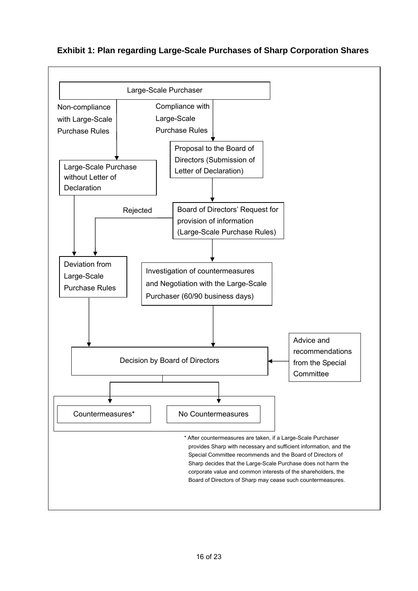#### **Exhibit 1: Plan regarding Large-Scale Purchases of Sharp Corporation Shares**

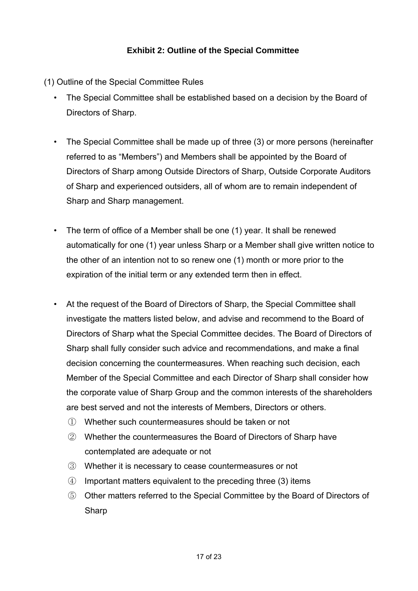## **Exhibit 2: Outline of the Special Committee**

- (1) Outline of the Special Committee Rules
	- The Special Committee shall be established based on a decision by the Board of Directors of Sharp.
	- The Special Committee shall be made up of three (3) or more persons (hereinafter referred to as "Members") and Members shall be appointed by the Board of Directors of Sharp among Outside Directors of Sharp, Outside Corporate Auditors of Sharp and experienced outsiders, all of whom are to remain independent of Sharp and Sharp management.
	- The term of office of a Member shall be one (1) year. It shall be renewed automatically for one (1) year unless Sharp or a Member shall give written notice to the other of an intention not to so renew one (1) month or more prior to the expiration of the initial term or any extended term then in effect.
	- At the request of the Board of Directors of Sharp, the Special Committee shall investigate the matters listed below, and advise and recommend to the Board of Directors of Sharp what the Special Committee decides. The Board of Directors of Sharp shall fully consider such advice and recommendations, and make a final decision concerning the countermeasures. When reaching such decision, each Member of the Special Committee and each Director of Sharp shall consider how the corporate value of Sharp Group and the common interests of the shareholders are best served and not the interests of Members, Directors or others.
		- ① Whether such countermeasures should be taken or not
		- ② Whether the countermeasures the Board of Directors of Sharp have contemplated are adequate or not
		- ③ Whether it is necessary to cease countermeasures or not
		- ④ Important matters equivalent to the preceding three (3) items
		- ⑤ Other matters referred to the Special Committee by the Board of Directors of **Sharp**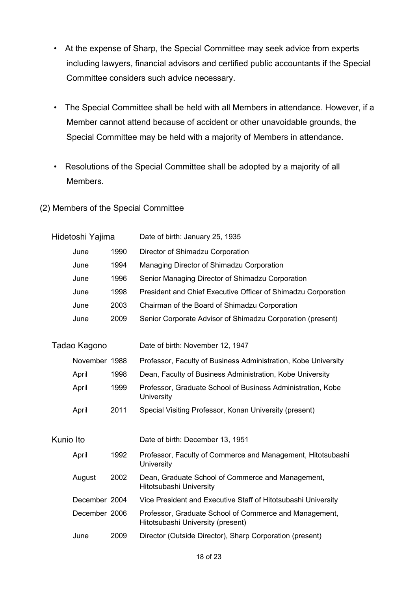- At the expense of Sharp, the Special Committee may seek advice from experts including lawyers, financial advisors and certified public accountants if the Special Committee considers such advice necessary.
- The Special Committee shall be held with all Members in attendance. However, if a Member cannot attend because of accident or other unavoidable grounds, the Special Committee may be held with a majority of Members in attendance.
- Resolutions of the Special Committee shall be adopted by a majority of all Members.
- (2) Members of the Special Committee

| Hidetoshi Yajima             |               |      | Date of birth: January 25, 1935                                                             |  |  |
|------------------------------|---------------|------|---------------------------------------------------------------------------------------------|--|--|
| 1990<br>June                 |               |      | Director of Shimadzu Corporation                                                            |  |  |
| 1994<br>June<br>1996<br>June |               |      | Managing Director of Shimadzu Corporation                                                   |  |  |
|                              |               |      | Senior Managing Director of Shimadzu Corporation                                            |  |  |
|                              | June          | 1998 | President and Chief Executive Officer of Shimadzu Corporation                               |  |  |
|                              | June          | 2003 | Chairman of the Board of Shimadzu Corporation                                               |  |  |
|                              | June          | 2009 | Senior Corporate Advisor of Shimadzu Corporation (present)                                  |  |  |
|                              | Tadao Kagono  |      | Date of birth: November 12, 1947                                                            |  |  |
|                              | November 1988 |      | Professor, Faculty of Business Administration, Kobe University                              |  |  |
|                              | April         | 1998 | Dean, Faculty of Business Administration, Kobe University                                   |  |  |
|                              | April         | 1999 | Professor, Graduate School of Business Administration, Kobe<br><b>University</b>            |  |  |
|                              | April         | 2011 | Special Visiting Professor, Konan University (present)                                      |  |  |
| Kunio Ito                    |               |      | Date of birth: December 13, 1951                                                            |  |  |
|                              | April         | 1992 | Professor, Faculty of Commerce and Management, Hitotsubashi<br>University                   |  |  |
|                              | August        | 2002 | Dean, Graduate School of Commerce and Management,<br>Hitotsubashi University                |  |  |
|                              | December 2004 |      | Vice President and Executive Staff of Hitotsubashi University                               |  |  |
|                              | December 2006 |      | Professor, Graduate School of Commerce and Management,<br>Hitotsubashi University (present) |  |  |
|                              | June          | 2009 | Director (Outside Director), Sharp Corporation (present)                                    |  |  |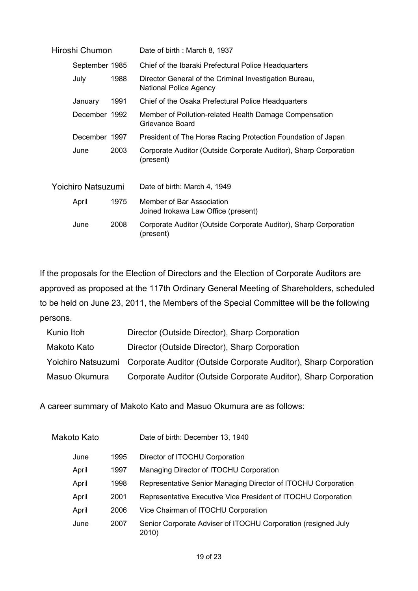| Hiroshi Chumon                 |                |      | Date of birth: March 8, 1937                                                     |  |
|--------------------------------|----------------|------|----------------------------------------------------------------------------------|--|
|                                | September 1985 |      | Chief of the Ibaraki Prefectural Police Headquarters                             |  |
| 1988<br>July                   |                |      | Director General of the Criminal Investigation Bureau,<br>National Police Agency |  |
|                                | January        | 1991 | Chief of the Osaka Prefectural Police Headquarters                               |  |
| December 1992<br>December 1997 |                |      | Member of Pollution-related Health Damage Compensation<br>Grievance Board        |  |
|                                |                |      | President of The Horse Racing Protection Foundation of Japan                     |  |
|                                | June           | 2003 | Corporate Auditor (Outside Corporate Auditor), Sharp Corporation<br>(present)    |  |
| Yoichiro Natsuzumi             |                |      | Date of birth: March 4, 1949                                                     |  |
|                                | April          | 1975 | Member of Bar Association<br>Joined Irokawa Law Office (present)                 |  |
|                                | June           | 2008 | Corporate Auditor (Outside Corporate Auditor), Sharp Corporation<br>(present)    |  |

If the proposals for the Election of Directors and the Election of Corporate Auditors are approved as proposed at the 117th Ordinary General Meeting of Shareholders, scheduled to be held on June 23, 2011, the Members of the Special Committee will be the following persons.

| Kunio Itoh    | Director (Outside Director), Sharp Corporation                                      |
|---------------|-------------------------------------------------------------------------------------|
| Makoto Kato   | Director (Outside Director), Sharp Corporation                                      |
|               | Yoichiro Natsuzumi Corporate Auditor (Outside Corporate Auditor), Sharp Corporation |
| Masuo Okumura | Corporate Auditor (Outside Corporate Auditor), Sharp Corporation                    |

A career summary of Makoto Kato and Masuo Okumura are as follows:

| Makoto Kato |      | Date of birth: December 13, 1940                                       |  |
|-------------|------|------------------------------------------------------------------------|--|
| June        | 1995 | Director of ITOCHU Corporation                                         |  |
| April       | 1997 | Managing Director of ITOCHU Corporation                                |  |
| April       | 1998 | Representative Senior Managing Director of ITOCHU Corporation          |  |
| April       | 2001 | Representative Executive Vice President of ITOCHU Corporation          |  |
| April       | 2006 | Vice Chairman of ITOCHU Corporation                                    |  |
| June        | 2007 | Senior Corporate Adviser of ITOCHU Corporation (resigned July<br>2010) |  |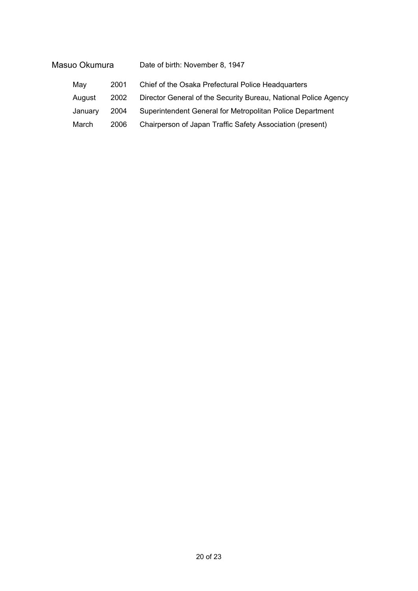| Masuo Okumura |         |      | Date of birth: November 8, 1947                                 |
|---------------|---------|------|-----------------------------------------------------------------|
|               | May     | 2001 | Chief of the Osaka Prefectural Police Headquarters              |
|               | August  | 2002 | Director General of the Security Bureau, National Police Agency |
|               | January | 2004 | Superintendent General for Metropolitan Police Department       |
|               | March   | 2006 | Chairperson of Japan Traffic Safety Association (present)       |
|               |         |      |                                                                 |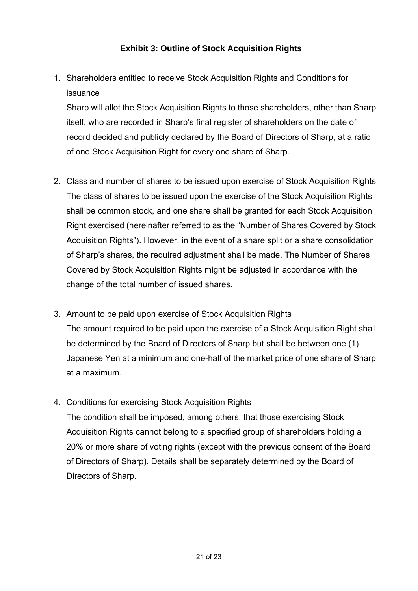## **Exhibit 3: Outline of Stock Acquisition Rights**

1. Shareholders entitled to receive Stock Acquisition Rights and Conditions for issuance

Sharp will allot the Stock Acquisition Rights to those shareholders, other than Sharp itself, who are recorded in Sharp's final register of shareholders on the date of record decided and publicly declared by the Board of Directors of Sharp, at a ratio of one Stock Acquisition Right for every one share of Sharp.

- 2. Class and number of shares to be issued upon exercise of Stock Acquisition Rights The class of shares to be issued upon the exercise of the Stock Acquisition Rights shall be common stock, and one share shall be granted for each Stock Acquisition Right exercised (hereinafter referred to as the "Number of Shares Covered by Stock Acquisition Rights"). However, in the event of a share split or a share consolidation of Sharp's shares, the required adjustment shall be made. The Number of Shares Covered by Stock Acquisition Rights might be adjusted in accordance with the change of the total number of issued shares.
- 3. Amount to be paid upon exercise of Stock Acquisition Rights The amount required to be paid upon the exercise of a Stock Acquisition Right shall be determined by the Board of Directors of Sharp but shall be between one (1) Japanese Yen at a minimum and one-half of the market price of one share of Sharp at a maximum.
- 4. Conditions for exercising Stock Acquisition Rights The condition shall be imposed, among others, that those exercising Stock Acquisition Rights cannot belong to a specified group of shareholders holding a 20% or more share of voting rights (except with the previous consent of the Board of Directors of Sharp). Details shall be separately determined by the Board of Directors of Sharp.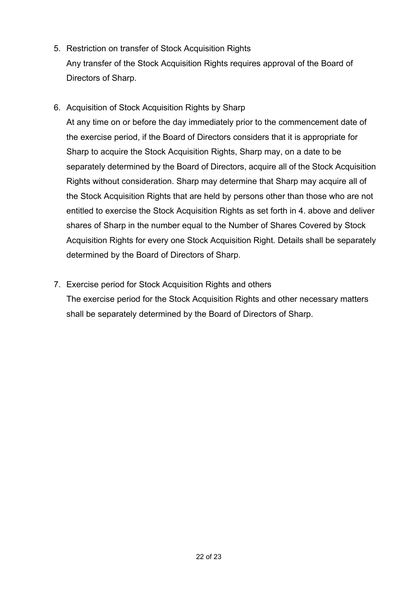- 5. Restriction on transfer of Stock Acquisition Rights Any transfer of the Stock Acquisition Rights requires approval of the Board of Directors of Sharp.
- 6. Acquisition of Stock Acquisition Rights by Sharp

At any time on or before the day immediately prior to the commencement date of the exercise period, if the Board of Directors considers that it is appropriate for Sharp to acquire the Stock Acquisition Rights, Sharp may, on a date to be separately determined by the Board of Directors, acquire all of the Stock Acquisition Rights without consideration. Sharp may determine that Sharp may acquire all of the Stock Acquisition Rights that are held by persons other than those who are not entitled to exercise the Stock Acquisition Rights as set forth in 4. above and deliver shares of Sharp in the number equal to the Number of Shares Covered by Stock Acquisition Rights for every one Stock Acquisition Right. Details shall be separately determined by the Board of Directors of Sharp.

7. Exercise period for Stock Acquisition Rights and others The exercise period for the Stock Acquisition Rights and other necessary matters shall be separately determined by the Board of Directors of Sharp.